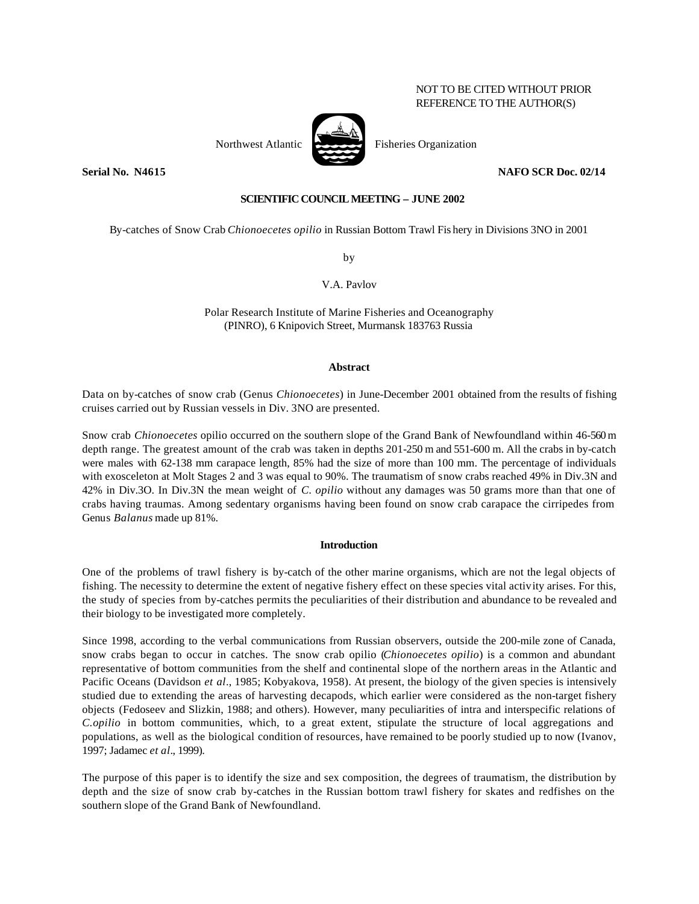# NOT TO BE CITED WITHOUT PRIOR REFERENCE TO THE AUTHOR(S)

## **SCIENTIFIC COUNCIL MEETING – JUNE 2002**

By-catches of Snow Crab *Chionoecetes opilio* in Russian Bottom Trawl Fis hery in Divisions 3NO in 2001

by

V.A. Pavlov

Polar Research Institute of Marine Fisheries and Oceanography (PINRO), 6 Knipovich Street, Murmansk 183763 Russia

### **Abstract**

Data on by-catches of snow crab (Genus *Chionoecetes*) in June-December 2001 obtained from the results of fishing cruises carried out by Russian vessels in Div. 3NO are presented.

Snow crab *Chionoecetes* opilio occurred on the southern slope of the Grand Bank of Newfoundland within 46-560 m depth range. The greatest amount of the crab was taken in depths 201-250 m and 551-600 m. All the crabs in by-catch were males with 62-138 mm carapace length, 85% had the size of more than 100 mm. The percentage of individuals with exosceleton at Molt Stages 2 and 3 was equal to 90%. The traumatism of snow crabs reached 49% in Div.3N and 42% in Div.3O. In Div.3N the mean weight of *C. opilio* without any damages was 50 grams more than that one of crabs having traumas. Among sedentary organisms having been found on snow crab carapace the cirripedes from Genus *Balanus* made up 81%.

## **Introduction**

One of the problems of trawl fishery is by-catch of the other marine organisms, which are not the legal objects of fishing. The necessity to determine the extent of negative fishery effect on these species vital activity arises. For this, the study of species from by-catches permits the peculiarities of their distribution and abundance to be revealed and their biology to be investigated more completely.

Since 1998, according to the verbal communications from Russian observers, outside the 200-mile zone of Canada, snow crabs began to occur in catches. The snow crab opilio (*Chionoecetes opilio*) is a common and abundant representative of bottom communities from the shelf and continental slope of the northern areas in the Atlantic and Pacific Oceans (Davidson *et al*., 1985; Kobyakova, 1958). At present, the biology of the given species is intensively studied due to extending the areas of harvesting decapods, which earlier were considered as the non-target fishery objects (Fedoseev and Slizkin, 1988; and others). However, many peculiarities of intra and interspecific relations of *C.opilio* in bottom communities, which, to a great extent, stipulate the structure of local aggregations and populations, as well as the biological condition of resources, have remained to be poorly studied up to now (Ivanov, 1997; Jadamec *et al*., 1999).

The purpose of this paper is to identify the size and sex composition, the degrees of traumatism, the distribution by depth and the size of snow crab by-catches in the Russian bottom trawl fishery for skates and redfishes on the southern slope of the Grand Bank of Newfoundland.



**Serial No. N4615 NAFO SCR Doc. 02/14**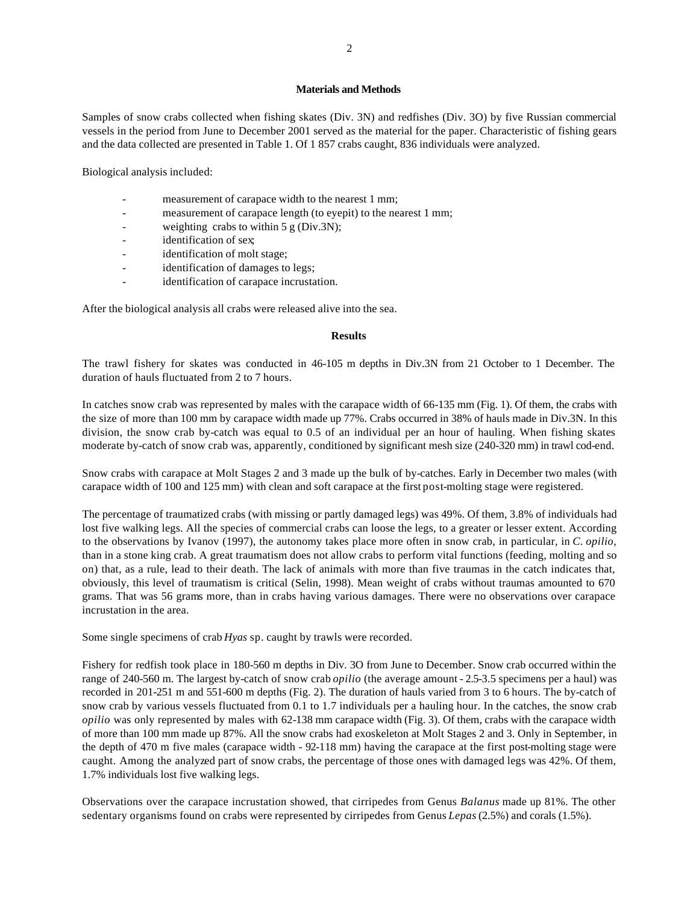#### **Materials and Methods**

Samples of snow crabs collected when fishing skates (Div. 3N) and redfishes (Div. 3O) by five Russian commercial vessels in the period from June to December 2001 served as the material for the paper. Characteristic of fishing gears and the data collected are presented in Table 1. Of 1 857 crabs caught, 836 individuals were analyzed.

Biological analysis included:

- measurement of carapace width to the nearest 1 mm;
- measurement of carapace length (to eyepit) to the nearest 1 mm;
- weighting crabs to within  $5 g$  (Div.3N);
- identification of sex;
- identification of molt stage;
- identification of damages to legs;
- identification of carapace incrustation.

After the biological analysis all crabs were released alive into the sea.

#### **Results**

The trawl fishery for skates was conducted in 46-105 m depths in Div.3N from 21 October to 1 December. The duration of hauls fluctuated from 2 to 7 hours.

In catches snow crab was represented by males with the carapace width of 66-135 mm (Fig. 1). Of them, the crabs with the size of more than 100 mm by carapace width made up 77%. Crabs occurred in 38% of hauls made in Div.3N. In this division, the snow crab by-catch was equal to 0.5 of an individual per an hour of hauling. When fishing skates moderate by-catch of snow crab was, apparently, conditioned by significant mesh size (240-320 mm) in trawl cod-end.

Snow crabs with carapace at Molt Stages 2 and 3 made up the bulk of by-catches. Early in December two males (with carapace width of 100 and 125 mm) with clean and soft carapace at the first post-molting stage were registered.

The percentage of traumatized crabs (with missing or partly damaged legs) was 49%. Of them, 3.8% of individuals had lost five walking legs. All the species of commercial crabs can loose the legs, to a greater or lesser extent. According to the observations by Ivanov (1997), the autonomy takes place more often in snow crab, in particular, in *C. opilio*, than in a stone king crab. A great traumatism does not allow crabs to perform vital functions (feeding, molting and so on) that, as a rule, lead to their death. The lack of animals with more than five traumas in the catch indicates that, obviously, this level of traumatism is critical (Selin, 1998). Mean weight of crabs without traumas amounted to 670 grams. That was 56 grams more, than in crabs having various damages. There were no observations over carapace incrustation in the area.

Some single specimens of crab *Hyas* sp. caught by trawls were recorded.

Fishery for redfish took place in 180-560 m depths in Div. 3O from June to December. Snow crab occurred within the range of 240-560 m. The largest by-catch of snow crab *opilio* (the average amount - 2.5-3.5 specimens per a haul) was recorded in 201-251 m and 551-600 m depths (Fig. 2). The duration of hauls varied from 3 to 6 hours. The by-catch of snow crab by various vessels fluctuated from 0.1 to 1.7 individuals per a hauling hour. In the catches, the snow crab *opilio* was only represented by males with 62-138 mm carapace width (Fig. 3). Of them, crabs with the carapace width of more than 100 mm made up 87%. All the snow crabs had exoskeleton at Molt Stages 2 and 3. Only in September, in the depth of 470 m five males (carapace width - 92-118 mm) having the carapace at the first post-molting stage were caught. Among the analyzed part of snow crabs, the percentage of those ones with damaged legs was 42%. Of them, 1.7% individuals lost five walking legs.

Observations over the carapace incrustation showed, that cirripedes from Genus *Balanus* made up 81%. The other sedentary organisms found on crabs were represented by cirripedes from Genus *Lepas* (2.5%) and corals (1.5%).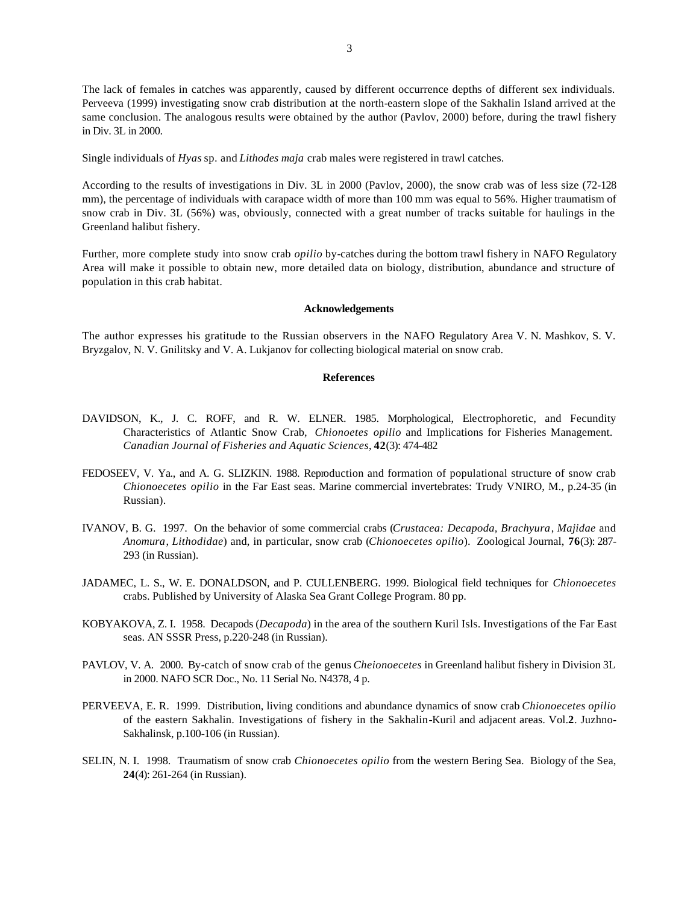The lack of females in catches was apparently, caused by different occurrence depths of different sex individuals. Perveeva (1999) investigating snow crab distribution at the north-eastern slope of the Sakhalin Island arrived at the same conclusion. The analogous results were obtained by the author (Pavlov, 2000) before, during the trawl fishery in Div. 3L in 2000.

Single individuals of *Hyas* sp. and *Lithodes maja* crab males were registered in trawl catches.

According to the results of investigations in Div. 3L in 2000 (Pavlov, 2000), the snow crab was of less size (72-128 mm), the percentage of individuals with carapace width of more than 100 mm was equal to 56%. Higher traumatism of snow crab in Div. 3L (56%) was, obviously, connected with a great number of tracks suitable for haulings in the Greenland halibut fishery.

Further, more complete study into snow crab *opilio* by-catches during the bottom trawl fishery in NAFO Regulatory Area will make it possible to obtain new, more detailed data on biology, distribution, abundance and structure of population in this crab habitat.

#### **Acknowledgements**

The author expresses his gratitude to the Russian observers in the NAFO Regulatory Area V. N. Mashkov, S. V. Bryzgalov, N. V. Gnilitsky and V. A. Lukjanov for collecting biological material on snow crab.

## **References**

- DAVIDSON, K., J. C. ROFF, and R. W. ELNER. 1985. Morphological, Electrophoretic, and Fecundity Characteristics of Atlantic Snow Crab, *Chionoetes opilio* and Implications for Fisheries Management. *Canadian Journal of Fisheries and Aquatic Sciences*, **42**(3): 474-482
- FEDOSEEV, V. Ya., and A. G. SLIZKIN. 1988. Reproduction and formation of populational structure of snow crab *Chionoecetes opilio* in the Far East seas. Marine commercial invertebrates: Trudy VNIRO, M., p.24-35 (in Russian).
- IVANOV, B. G. 1997. On the behavior of some commercial crabs (*Crustacea: Decapoda, Brachyura*, *Majidae* and *Anomura*, *Lithodidae*) and, in particular, snow crab (*Chionoecetes opilio*). Zoological Journal, **76**(3): 287- 293 (in Russian).
- JADAMEC, L. S., W. E. DONALDSON, and P. CULLENBERG. 1999. Biological field techniques for *Chionoecetes* crabs. Published by University of Alaska Sea Grant College Program. 80 pp.
- KOBYAKOVA, Z. I. 1958. Decapods (*Decapoda*) in the area of the southern Kuril Isls. Investigations of the Far East seas. AN SSSR Press, p.220-248 (in Russian).
- PAVLOV, V. A. 2000. By-catch of snow crab of the genus *Cheionoecetes* in Greenland halibut fishery in Division 3L in 2000. NAFO SCR Doc., No. 11 Serial No. N4378, 4 p.
- PERVEEVA, E. R. 1999. Distribution, living conditions and abundance dynamics of snow crab *Chionoecetes opilio* of the eastern Sakhalin. Investigations of fishery in the Sakhalin-Kuril and adjacent areas. Vol.**2**. Juzhno-Sakhalinsk, p.100-106 (in Russian).
- SELIN, N. I. 1998. Traumatism of snow crab *Chionoecetes opilio* from the western Bering Sea. Biology of the Sea, **24**(4): 261-264 (in Russian).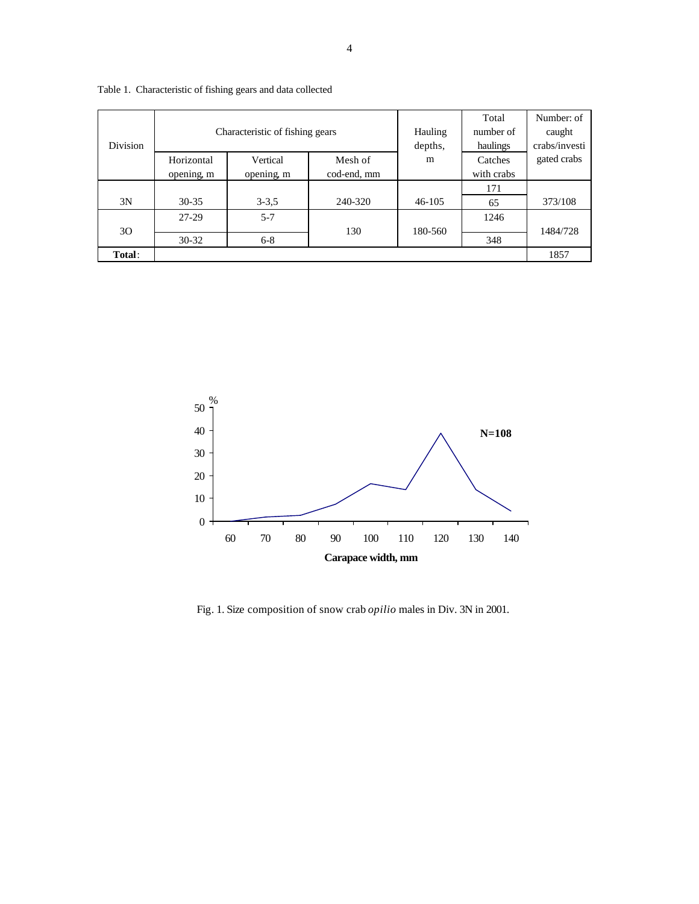| <b>Division</b> | Characteristic of fishing gears |            |             | Hauling<br>depths, | Total<br>number of<br>haulings | Number: of<br>caught<br>crabs/investi |
|-----------------|---------------------------------|------------|-------------|--------------------|--------------------------------|---------------------------------------|
|                 | Horizontal                      | Vertical   | Mesh of     | m                  | Catches                        | gated crabs                           |
|                 | opening, m                      | opening, m | cod-end, mm |                    | with crabs                     |                                       |
|                 |                                 |            |             |                    | 171                            |                                       |
| 3N              | $30 - 35$                       | $3 - 3.5$  | 240-320     | $46 - 105$         | 65                             | 373/108                               |
|                 | 27-29                           | $5 - 7$    |             |                    | 1246                           |                                       |
| 30              |                                 |            | 130         | 180-560            |                                | 1484/728                              |
|                 | $30 - 32$                       | $6 - 8$    |             |                    | 348                            |                                       |
| Total:          |                                 |            |             |                    |                                | 1857                                  |

Table 1. Characteristic of fishing gears and data collected



Fig. 1. Size composition of snow crab *opilio* males in Div. 3N in 2001.